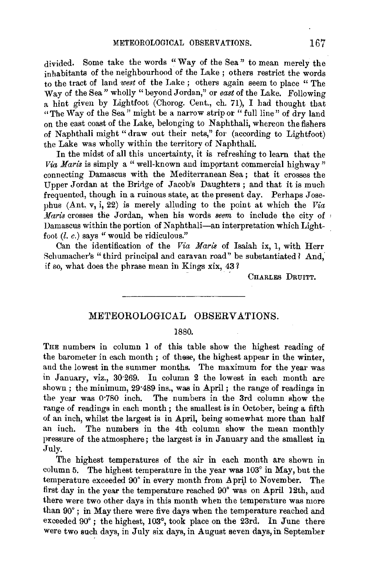divided. Some take the words "Way of the Sea" to mean merely the inhabitants of the neighbourhood of the Lake ; others restrict the words to the tract of land *west* of the Lake ; others again seem to place " The Way of the Sea" wholly "beyond Jordan," or *east* of the Lake. Following a hint given by Lightfoot (Chorog. Cent., eh. 71), I had thought that "The Way of the Sea" might be a narrow strip or "full line" of dry land on the east coast of the Lake, belonging to Naphthali, whereon the fishers of Naphthali might" draw out their nets," for (according to Lightfoot) the Lake was wholly within the territory of Naphthali.

In the midst of all this uncertainty, it is refreshing to learn that the *Via Maris* is simply a "well-known and important commercial highway" connecting Damascus with the Mediterranean Sea ; that it crosses the Upper Jordan at the Bridge of Jacob's Daughters; and that it is much frequented, though in a ruinous state, at the present day. Perhaps Josephus (Ant. v, i, 22) is merely alluding to the point at which the *Via Maris* crosses the Jordan, when his words *seem* to include the city of Damascus within the portion of Naphthali-an interpretation which Lightfoot  $(l, c)$  says " would be ridiculous."

Can the identification of the *Via Naris* of Isaiah ix, 1, with Herr Schumacher's "third principal and caravan road" be substantiated ? And, if so, what does the phrase mean in Kings xix, 43?

CHARLES DRUITT.

## METEOROLOGICAL OBSERVATIONS.

## 1880.

THE numbers in column 1 of this table show the highest reading of the barometer in each month ; of these, the highest appear in the winter, and the lowest in the summer months. The maximum for the year was in January, viz., 30·269. In column 2 the lowest in each month are shown ; the minimum, 29·489 ins., was in April ; the range of readings in the year was 0·780 inch. The numbers in the 3rd column show the range of readings in each month; the smallest is in October, being a fifth of an inch, whilst the largest is in April, being somewhat more than half an inch. The numbers in the 4th column show the mean monthly pressure of the atmosphere; the largest is in January and the smallest in July.

The highest temperatures of the air in each month are shown in column 5. The highest temperature in the year was 103° in May, but the temperature exceeded 90° in every month from A pril to November. The first day in the year the temperature reached 90° was on April 12th, and there were two other days in this month when the temperature was more than 90° ; in May there were five days when the temperature reached and exceeded 90°; the highest, 103°, took place on the 23rd. In June there were *two* such days, in July six days, in August seven days, in September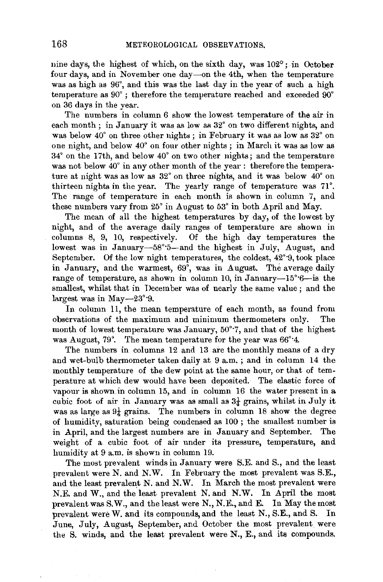nine days, the highest of which, on the sixth day, was 102°; in October four days, and in November one day-on the 4th, when the temperature was as high as  $96^\circ$ , and this was the last day in the year of such a high temperature as 90° ; therefore the temperature reached and exceeded 90° on 36 days in the year.

The numbers in column 6 show the lowest temperature of the air in each month ; in January it was as low as 32° on two different nights, and was below  $40^{\circ}$  on three other nights; in February it was as low as  $32^{\circ}$  on one night, and below 40° on four other nights ; in March it was as low as 34° on the 17th, and below 40° on two other nights; and the temperature was not below 40° in any other month of the year : therefore the temperature at night was as low as 32° on three nights, and it was below 40° on thirteen nights in the year. The yearly range of temperature was 71°. The range of temperature in each month is shown in column 7, and these numbers vary from  $25^{\circ}$  in August to  $53^{\circ}$  in both April and May.

The mean of all the highest temperatures by day, of the lowest by night, and of the average daily ranges of temperature are shown in columns 8, 9, 10, respectively. Of the high day temperatures the lowest was in January-58°5-and the highest in July, August, and September. Of the low night temperatures, the coldest, 42°·9, took place in January, and the warmest,  $69^\circ$ , was in August. The average daily range of temperature, as shown in column 10, in January-15° $6$ -is the smallest, whilst that in December was of nearly the same value; and the largest was in May-23°·9.

In column 11, the mean temperature of each month, as found from observations of the maximum and minimum thermometers only. The month of lowest temperature was January, 50°·7, and that of the highest was August, 79°. The mean temperature for the year was  $66^{\circ}$ 4.

The numbers in columns 12 and 13 are the monthly means of a dry and wet-bulb thermometer taken daily at 9 a.m. ; and in column 14 the monthly temperature of the dew point at the same hour, or that of temperature at which dew would have been deposited. The elastic force of vapour is shown \_in column 15, and in column 16 the water present in a cubic foot of air in January was as small as  $3\frac{1}{4}$  grains, whilst in July it was as large as  $9\frac{1}{4}$  grains. The numbers in column 18 show the degree of humidity, saturation being condensed as 100 ; the smallest number is in April, and the largest numbers are in January and September. The weight of a cubic foot of air under its pressure, temperature, and humidity at 9 a.m. is shown in column 19.

The most prevalent winds in January were S.E. and S., and the least prevalent were N. and N.W. In February the most prevalent was S.E., and the least prevalent N. and N.W. In March the most prevalent were N.E. and W., and the least prevalent N. and N.W. In April the most prevalent was S.W., and the least were N., N.E., and E. In May the most prevalent were W. and its compounds, and the least N., S.E., and S. In June, July, August, September, and October the most prevalent were the S. winds, and the least prevalent were N., E., and its compounds.